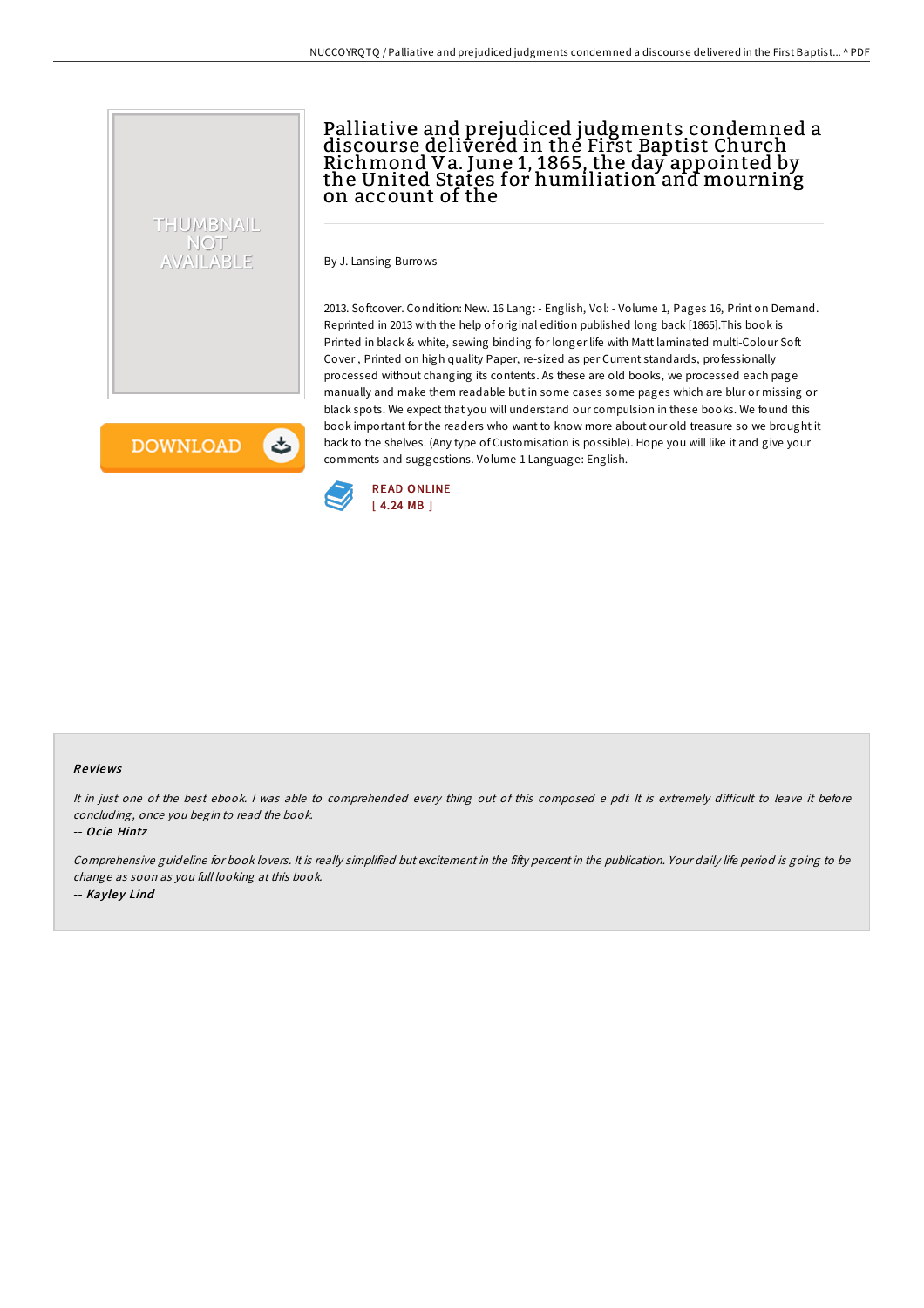

## Palliative and prejudiced judgments condemned a discourse delivered in the First Baptist Church Richmond Va. June 1, 1865, the day appointed by the United States for humiliation and mourning on account of the

By J. Lansing Burrows

2013. Softcover. Condition: New. 16 Lang: - English, Vol: - Volume 1, Pages 16, Print on Demand. Reprinted in 2013 with the help of original edition published long back [1865].This book is Printed in black & white, sewing binding for longer life with Matt laminated multi-Colour Soft Cover , Printed on high quality Paper, re-sized as per Current standards, professionally processed without changing its contents. As these are old books, we processed each page manually and make them readable but in some cases some pages which are blur or missing or black spots. We expect that you will understand our compulsion in these books. We found this book important for the readers who want to know more about our old treasure so we brought it back to the shelves. (Any type of Customisation is possible). Hope you will like it and give your comments and suggestions. Volume 1 Language: English.

**DOWNLOAD** 

と



#### Re views

It in just one of the best ebook. I was able to comprehended every thing out of this composed e pdf. It is extremely difficult to leave it before concluding, once you begin to read the book.

-- Ocie Hintz

Comprehensive guideline for book lovers. It is really simplified but excitement in the fifty percent in the publication. Your daily life period is going to be change as soon as you full looking at this book. -- Kayley Lind